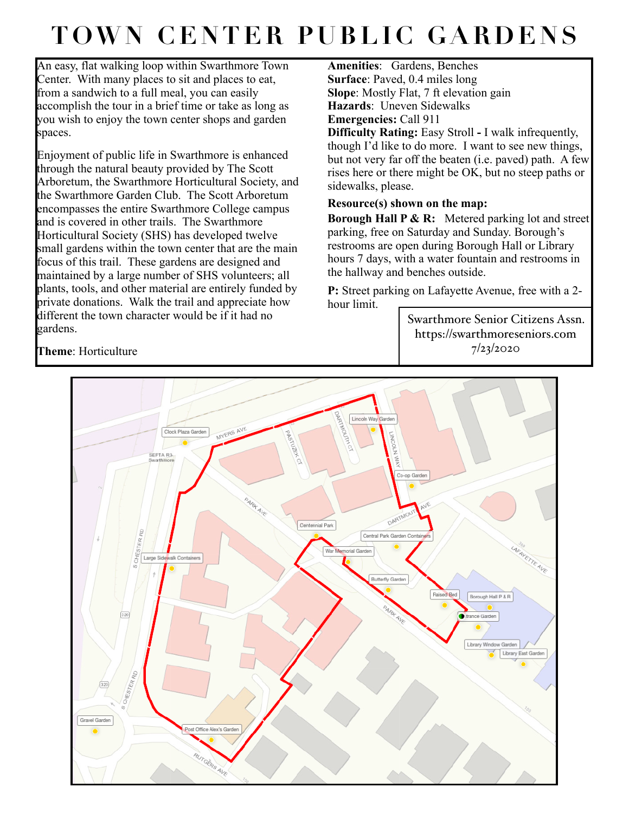## **TOWN CENTER PUBLIC GARDENS**

An easy, flat walking loop within Swarthmore Town Center. With many places to sit and places to eat, from a sandwich to a full meal, you can easily accomplish the tour in a brief time or take as long as you wish to enjoy the town center shops and garden spaces.

Enjoyment of public life in Swarthmore is enhanced through the natural beauty provided by The Scott Arboretum, the Swarthmore Horticultural Society, and the Swarthmore Garden Club. The Scott Arboretum encompasses the entire Swarthmore College campus and is covered in other trails. The Swarthmore Horticultural Society (SHS) has developed twelve small gardens within the town center that are the main focus of this trail. These gardens are designed and maintained by a large number of SHS volunteers; all plants, tools, and other material are entirely funded by private donations. Walk the trail and appreciate how different the town character would be if it had no gardens.

**Amenities**: Gardens, Benches **Surface**: Paved, 0.4 miles long **Slope**: Mostly Flat, 7 ft elevation gain **Hazards**: Uneven Sidewalks **Emergencies:** Call 911 **Difficulty Rating:** Easy Stroll **-** I walk infrequently, though I'd like to do more. I want to see new things, but not very far off the beaten (i.e. paved) path. A few rises here or there might be OK, but no steep paths or sidewalks, please.

## **Resource(s) shown on the map:**

**Borough Hall P & R:** Metered parking lot and street parking, free on Saturday and Sunday. Borough's restrooms are open during Borough Hall or Library hours 7 days, with a water fountain and restrooms in the hallway and benches outside.

**P:** Street parking on Lafayette Avenue, free with a 2 hour limit.

> Swarthmore Senior Citizens Assn. https://swarthmoreseniors.com 7/23/2020



**Theme**: Horticulture